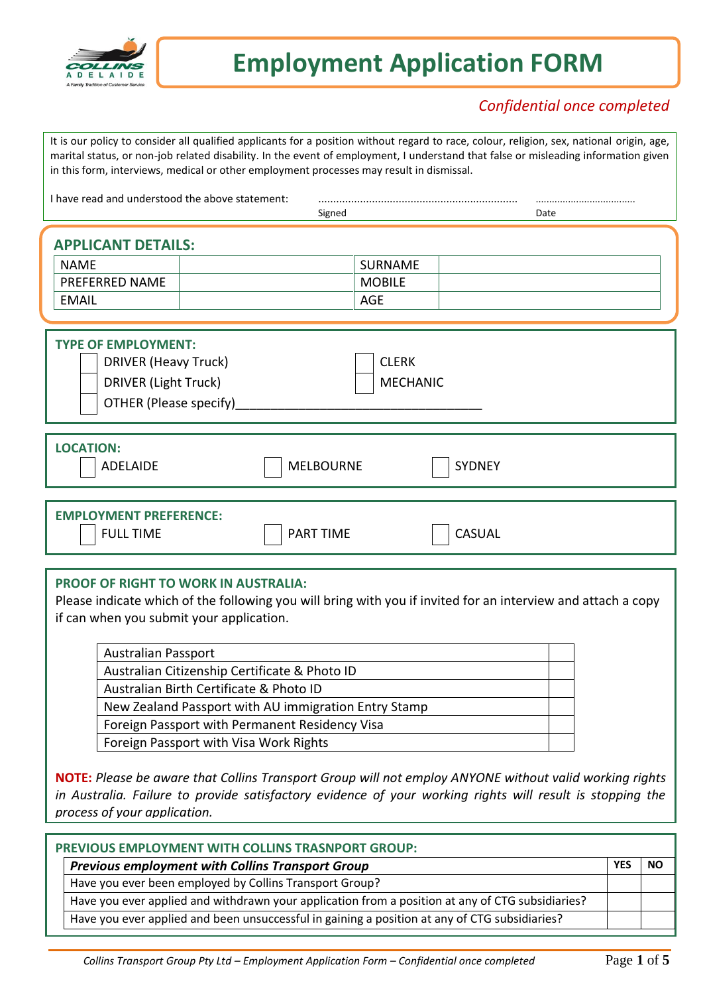

# **Employment Application FORM**

## *Confidential once completed*

It is our policy to consider all qualified applicants for a position without regard to race, colour, religion, sex, national origin, age, marital status, or non-job related disability. In the event of employment, I understand that false or misleading information given in this form, interviews, medical or other employment processes may result in dismissal.

| I have read and understood the above statement:                                                                    | Signed                                        | <br>Date      |
|--------------------------------------------------------------------------------------------------------------------|-----------------------------------------------|---------------|
| <b>APPLICANT DETAILS:</b><br><b>NAME</b><br>PREFERRED NAME<br><b>EMAIL</b>                                         | <b>SURNAME</b><br><b>MOBILE</b><br><b>AGE</b> |               |
| <b>TYPE OF EMPLOYMENT:</b><br><b>DRIVER (Heavy Truck)</b><br><b>DRIVER (Light Truck)</b><br>OTHER (Please specify) | <b>CLERK</b><br><b>MECHANIC</b>               |               |
| <b>LOCATION:</b><br><b>ADELAIDE</b>                                                                                | <b>MELBOURNE</b>                              | <b>SYDNEY</b> |

**EMPLOYMENT PREFERENCE:** FULL TIME PART TIME CASUAL

#### **PROOF OF RIGHT TO WORK IN AUSTRALIA:**

Please indicate which of the following you will bring with you if invited for an interview and attach a copy if can when you submit your application.

| <b>Australian Passport</b>                           |  |
|------------------------------------------------------|--|
| Australian Citizenship Certificate & Photo ID        |  |
| Australian Birth Certificate & Photo ID              |  |
| New Zealand Passport with AU immigration Entry Stamp |  |
| Foreign Passport with Permanent Residency Visa       |  |
| Foreign Passport with Visa Work Rights               |  |

**NOTE:** *Please be aware that Collins Transport Group will not employ ANYONE without valid working rights in Australia. Failure to provide satisfactory evidence of your working rights will result is stopping the process of your application.*

| PREVIOUS EMPLOYMENT WITH COLLINS TRASNPORT GROUP:                                                |     |    |  |  |  |
|--------------------------------------------------------------------------------------------------|-----|----|--|--|--|
| <b>Previous employment with Collins Transport Group</b>                                          | YES | NΩ |  |  |  |
| Have you ever been employed by Collins Transport Group?                                          |     |    |  |  |  |
| Have you ever applied and withdrawn your application from a position at any of CTG subsidiaries? |     |    |  |  |  |
| Have you ever applied and been unsuccessful in gaining a position at any of CTG subsidiaries?    |     |    |  |  |  |
|                                                                                                  |     |    |  |  |  |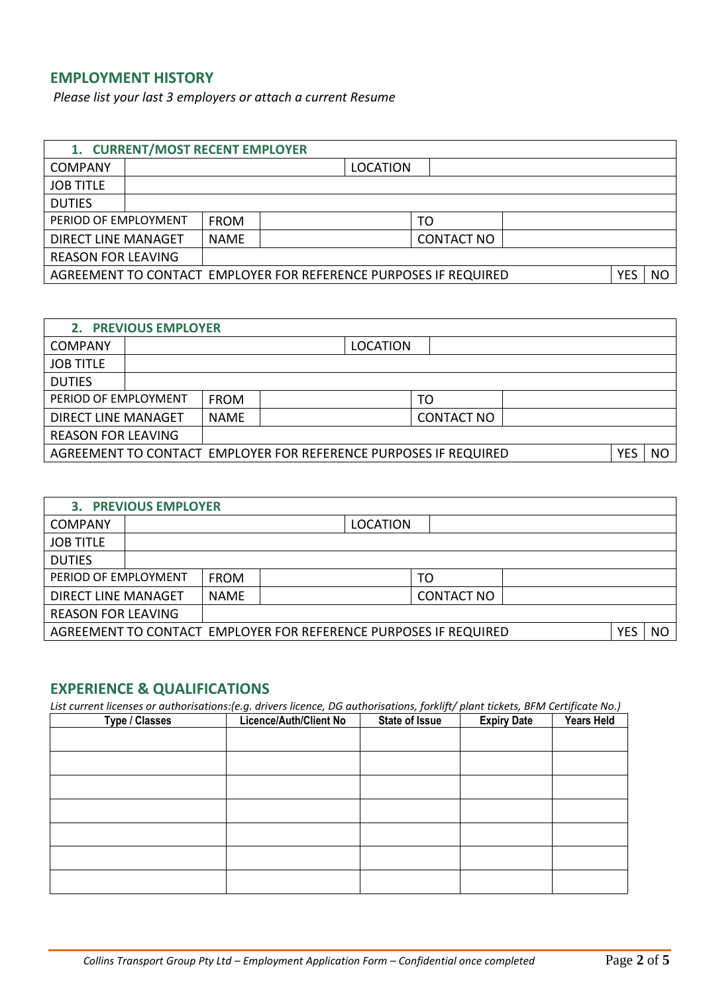## **EMPLOYMENT HISTORY**

*Please list your last 3 employers or attach a current Resume*

| 1. CURRENT/MOST RECENT EMPLOYER                                  |                                                                          |                   |            |           |  |  |
|------------------------------------------------------------------|--------------------------------------------------------------------------|-------------------|------------|-----------|--|--|
|                                                                  | <b>LOCATION</b>                                                          |                   |            |           |  |  |
|                                                                  |                                                                          |                   |            |           |  |  |
|                                                                  |                                                                          |                   |            |           |  |  |
| <b>FROM</b>                                                      |                                                                          | TO                |            |           |  |  |
| <b>NAME</b>                                                      |                                                                          | <b>CONTACT NO</b> |            |           |  |  |
|                                                                  |                                                                          |                   |            |           |  |  |
| AGREEMENT TO CONTACT EMPLOYER FOR REFERENCE PURPOSES IF REQUIRED |                                                                          |                   | <b>YES</b> | <b>NO</b> |  |  |
|                                                                  | PERIOD OF EMPLOYMENT<br>DIRECT LINE MANAGET<br><b>REASON FOR LEAVING</b> |                   |            |           |  |  |

| 2. PREVIOUS EMPLOYER                                                    |  |             |                 |     |                   |  |  |  |
|-------------------------------------------------------------------------|--|-------------|-----------------|-----|-------------------|--|--|--|
| <b>COMPANY</b>                                                          |  |             | <b>LOCATION</b> |     |                   |  |  |  |
| <b>JOB TITLE</b>                                                        |  |             |                 |     |                   |  |  |  |
| <b>DUTIES</b>                                                           |  |             |                 |     |                   |  |  |  |
| PERIOD OF EMPLOYMENT                                                    |  | <b>FROM</b> |                 |     | TO                |  |  |  |
| <b>DIRECT LINE MANAGET</b>                                              |  | <b>NAME</b> |                 |     | <b>CONTACT NO</b> |  |  |  |
| <b>REASON FOR LEAVING</b>                                               |  |             |                 |     |                   |  |  |  |
| AGREEMENT TO CONTACT EMPLOYER FOR REFERENCE PURPOSES IF REQUIRED<br>YES |  |             |                 | NO. |                   |  |  |  |

| <b>3. PREVIOUS EMPLOYER</b>                                             |  |             |           |                 |                   |  |  |
|-------------------------------------------------------------------------|--|-------------|-----------|-----------------|-------------------|--|--|
| <b>COMPANY</b>                                                          |  |             |           | <b>LOCATION</b> |                   |  |  |
| <b>JOB TITLE</b>                                                        |  |             |           |                 |                   |  |  |
| <b>DUTIES</b>                                                           |  |             |           |                 |                   |  |  |
| PERIOD OF EMPLOYMENT                                                    |  | <b>FROM</b> |           |                 | TO                |  |  |
| <b>DIRECT LINE MANAGET</b>                                              |  | <b>NAME</b> |           |                 | <b>CONTACT NO</b> |  |  |
| <b>REASON FOR LEAVING</b>                                               |  |             |           |                 |                   |  |  |
| AGREEMENT TO CONTACT EMPLOYER FOR REFERENCE PURPOSES IF REQUIRED<br>YES |  |             | <b>NO</b> |                 |                   |  |  |

## **EXPERIENCE & QUALIFICATIONS**

*List current licenses or authorisations:(e.g. drivers licence, DG authorisations, forklift/ plant tickets, BFM Certificate No.)*

| Type / Classes | <b>Licence/Auth/Client No</b> | <b>State of Issue</b> | <b>Expiry Date</b> | <b>Years Held</b> |
|----------------|-------------------------------|-----------------------|--------------------|-------------------|
|                |                               |                       |                    |                   |
|                |                               |                       |                    |                   |
|                |                               |                       |                    |                   |
|                |                               |                       |                    |                   |
|                |                               |                       |                    |                   |
|                |                               |                       |                    |                   |
|                |                               |                       |                    |                   |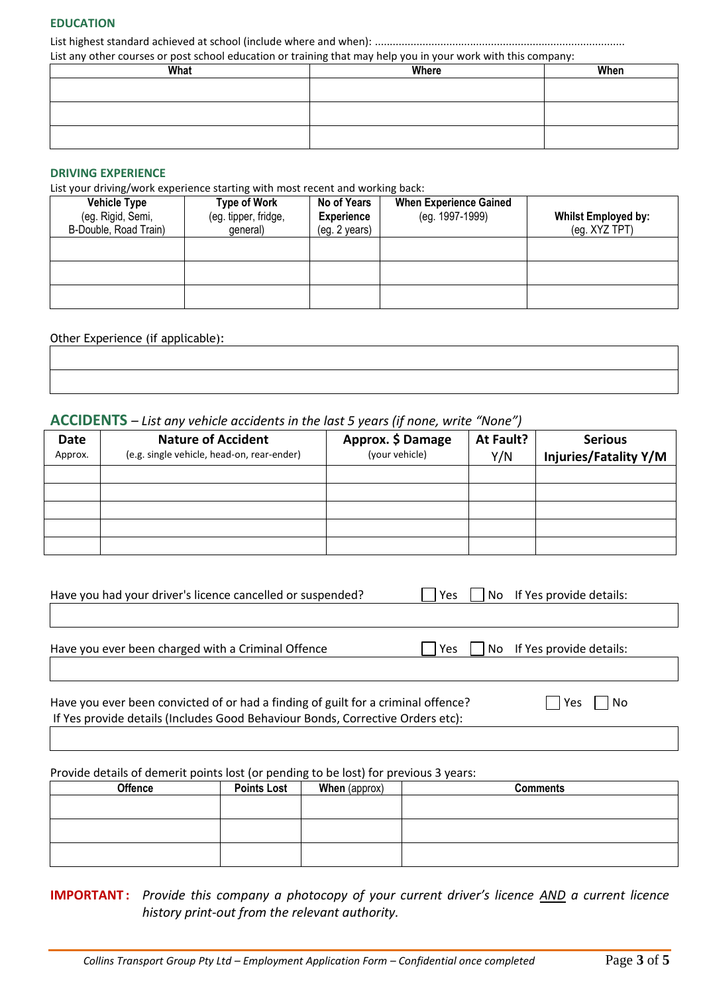#### **EDUCATION**

List highest standard achieved at school (include where and when): .................................................................................... List any other courses or post school education or training that may help you in your work with this company:

| What | Where | When |
|------|-------|------|
|      |       |      |
|      |       |      |
|      |       |      |
|      |       |      |
|      |       |      |

#### **DRIVING EXPERIENCE**

List your driving/work experience starting with most recent and working back:

| <b>Vehicle Type</b><br>(eg. Rigid, Semi,<br>B-Double, Road Train) | <b>Type of Work</b><br>(eg. tipper, fridge,<br>general) | No of Years<br><b>Experience</b><br>(eg. 2 years) | <b>When Experience Gained</b><br>(eg. 1997-1999) | <b>Whilst Employed by:</b><br>(eg. XYZ TPT) |
|-------------------------------------------------------------------|---------------------------------------------------------|---------------------------------------------------|--------------------------------------------------|---------------------------------------------|
|                                                                   |                                                         |                                                   |                                                  |                                             |
|                                                                   |                                                         |                                                   |                                                  |                                             |
|                                                                   |                                                         |                                                   |                                                  |                                             |

#### Other Experience (if applicable):

#### **ACCIDENTS** *– List any vehicle accidents in the last 5 years (if none, write "None")*

|                        |                                                                         | .                                   |                  |                                                |
|------------------------|-------------------------------------------------------------------------|-------------------------------------|------------------|------------------------------------------------|
| <b>Date</b><br>Approx. | <b>Nature of Accident</b><br>(e.g. single vehicle, head-on, rear-ender) | Approx. \$ Damage<br>(your vehicle) | At Fault?<br>Y/N | <b>Serious</b><br><b>Injuries/Fatality Y/M</b> |
|                        |                                                                         |                                     |                  |                                                |
|                        |                                                                         |                                     |                  |                                                |
|                        |                                                                         |                                     |                  |                                                |
|                        |                                                                         |                                     |                  |                                                |
|                        |                                                                         |                                     |                  |                                                |

| Have you had your driver's licence cancelled or suspended?                                                                                                          | <b>Yes</b> | No If Yes provide details: |  |
|---------------------------------------------------------------------------------------------------------------------------------------------------------------------|------------|----------------------------|--|
|                                                                                                                                                                     |            |                            |  |
| Have you ever been charged with a Criminal Offence                                                                                                                  | Yes        | No If Yes provide details: |  |
|                                                                                                                                                                     |            |                            |  |
| Have you ever been convicted of or had a finding of guilt for a criminal offence?<br>If Yes provide details (Includes Good Behaviour Bonds, Corrective Orders etc): |            | l No<br>l Yes              |  |

| Provide details of demerit points lost (or pending to be lost) for previous 3 years: |                    |                      |                 |  |  |  |
|--------------------------------------------------------------------------------------|--------------------|----------------------|-----------------|--|--|--|
| <b>Offence</b>                                                                       | <b>Points Lost</b> | <b>When</b> (approx) | <b>Comments</b> |  |  |  |
|                                                                                      |                    |                      |                 |  |  |  |
|                                                                                      |                    |                      |                 |  |  |  |
|                                                                                      |                    |                      |                 |  |  |  |
|                                                                                      |                    |                      |                 |  |  |  |
|                                                                                      |                    |                      |                 |  |  |  |
|                                                                                      |                    |                      |                 |  |  |  |

**IMPORTANT :** *Provide this company a photocopy of your current driver's licence AND a current licence history print-out from the relevant authority.*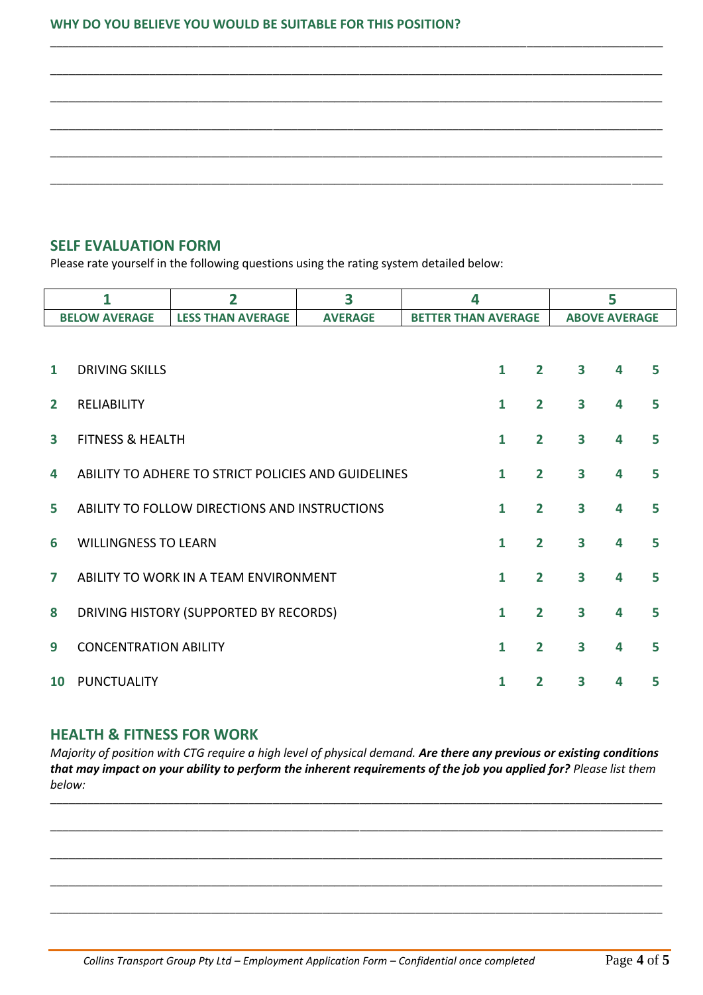#### **WHY DO YOU BELIEVE YOU WOULD BE SUITABLE FOR THIS POSITION?**

\_\_\_\_\_\_\_\_\_\_\_\_\_\_\_\_\_\_\_\_\_\_\_\_\_\_\_\_\_\_\_\_\_\_\_\_\_\_\_\_\_\_\_\_\_\_\_\_\_\_\_\_\_\_\_\_\_\_\_\_\_\_\_\_\_\_\_\_\_\_\_\_\_\_\_\_\_\_\_\_\_\_\_\_\_\_\_\_\_\_\_\_\_\_\_\_\_\_\_

## **SELF EVALUATION FORM**

Please rate yourself in the following questions using the rating system detailed below:

|                         |                              | $\overline{2}$                                                           | 3 | 4 |              |                | 5                       |   |   |  |
|-------------------------|------------------------------|--------------------------------------------------------------------------|---|---|--------------|----------------|-------------------------|---|---|--|
|                         | <b>BELOW AVERAGE</b>         | <b>LESS THAN AVERAGE</b><br><b>AVERAGE</b><br><b>BETTER THAN AVERAGE</b> |   |   |              |                | <b>ABOVE AVERAGE</b>    |   |   |  |
|                         |                              |                                                                          |   |   |              |                |                         |   |   |  |
| 1                       | <b>DRIVING SKILLS</b>        |                                                                          |   |   | $\mathbf{1}$ | $\overline{2}$ | 3                       | 4 | 5 |  |
| $\overline{2}$          | <b>RELIABILITY</b>           |                                                                          |   |   | 1            | $\overline{2}$ | $\overline{\mathbf{3}}$ | 4 | 5 |  |
| $\overline{\mathbf{3}}$ | <b>FITNESS &amp; HEALTH</b>  |                                                                          |   |   | $\mathbf{1}$ | $\overline{2}$ | $\overline{\mathbf{3}}$ | 4 | 5 |  |
| 4                       |                              | ABILITY TO ADHERE TO STRICT POLICIES AND GUIDELINES                      |   |   | $\mathbf{1}$ | $\overline{2}$ | 3                       | 4 | 5 |  |
| 5                       |                              | ABILITY TO FOLLOW DIRECTIONS AND INSTRUCTIONS                            |   |   | $\mathbf{1}$ | $\overline{2}$ | $\overline{\mathbf{3}}$ | 4 | 5 |  |
| 6                       | <b>WILLINGNESS TO LEARN</b>  |                                                                          |   |   | 1            | $\overline{2}$ | $\overline{\mathbf{3}}$ | 4 | 5 |  |
| 7                       |                              | ABILITY TO WORK IN A TEAM ENVIRONMENT                                    |   |   | $\mathbf{1}$ | $\overline{2}$ | $\overline{\mathbf{3}}$ | 4 | 5 |  |
| 8                       |                              | DRIVING HISTORY (SUPPORTED BY RECORDS)                                   |   |   | 1            | $\overline{2}$ | $\overline{\mathbf{3}}$ | 4 | 5 |  |
| 9                       | <b>CONCENTRATION ABILITY</b> |                                                                          |   |   | 1            | $\overline{2}$ | $\overline{\mathbf{3}}$ | 4 | 5 |  |
| <b>10</b>               | <b>PUNCTUALITY</b>           |                                                                          |   |   | 1            | $\mathbf{2}$   | 3                       | 4 | 5 |  |

### **HEALTH & FITNESS FOR WORK**

*Majority of position with CTG require a high level of physical demand. Are there any previous or existing conditions that may impact on your ability to perform the inherent requirements of the job you applied for? Please list them below:*

\_\_\_\_\_\_\_\_\_\_\_\_\_\_\_\_\_\_\_\_\_\_\_\_\_\_\_\_\_\_\_\_\_\_\_\_\_\_\_\_\_\_\_\_\_\_\_\_\_\_\_\_\_\_\_\_\_\_\_\_\_\_\_\_\_\_\_\_\_\_\_\_\_\_\_\_\_\_\_\_\_\_\_\_\_\_\_\_\_\_\_\_\_\_\_\_\_\_\_

\_\_\_\_\_\_\_\_\_\_\_\_\_\_\_\_\_\_\_\_\_\_\_\_\_\_\_\_\_\_\_\_\_\_\_\_\_\_\_\_\_\_\_\_\_\_\_\_\_\_\_\_\_\_\_\_\_\_\_\_\_\_\_\_\_\_\_\_\_\_\_\_\_\_\_\_\_\_\_\_\_\_\_\_\_\_\_\_\_\_\_\_\_\_\_\_\_\_\_

\_\_\_\_\_\_\_\_\_\_\_\_\_\_\_\_\_\_\_\_\_\_\_\_\_\_\_\_\_\_\_\_\_\_\_\_\_\_\_\_\_\_\_\_\_\_\_\_\_\_\_\_\_\_\_\_\_\_\_\_\_\_\_\_\_\_\_\_\_\_\_\_\_\_\_\_\_\_\_\_\_\_\_\_\_\_\_\_\_\_\_\_\_\_\_\_\_\_\_

\_\_\_\_\_\_\_\_\_\_\_\_\_\_\_\_\_\_\_\_\_\_\_\_\_\_\_\_\_\_\_\_\_\_\_\_\_\_\_\_\_\_\_\_\_\_\_\_\_\_\_\_\_\_\_\_\_\_\_\_\_\_\_\_\_\_\_\_\_\_\_\_\_\_\_\_\_\_\_\_\_\_\_\_\_\_\_\_\_\_\_\_\_\_\_\_\_\_\_

\_\_\_\_\_\_\_\_\_\_\_\_\_\_\_\_\_\_\_\_\_\_\_\_\_\_\_\_\_\_\_\_\_\_\_\_\_\_\_\_\_\_\_\_\_\_\_\_\_\_\_\_\_\_\_\_\_\_\_\_\_\_\_\_\_\_\_\_\_\_\_\_\_\_\_\_\_\_\_\_\_\_\_\_\_\_\_\_\_\_\_\_\_\_\_\_\_\_\_